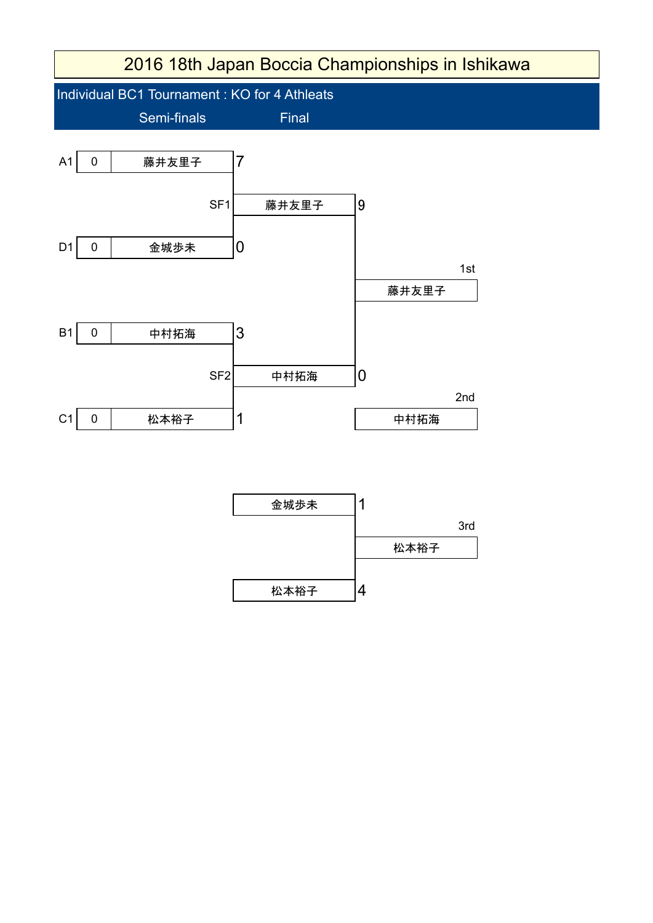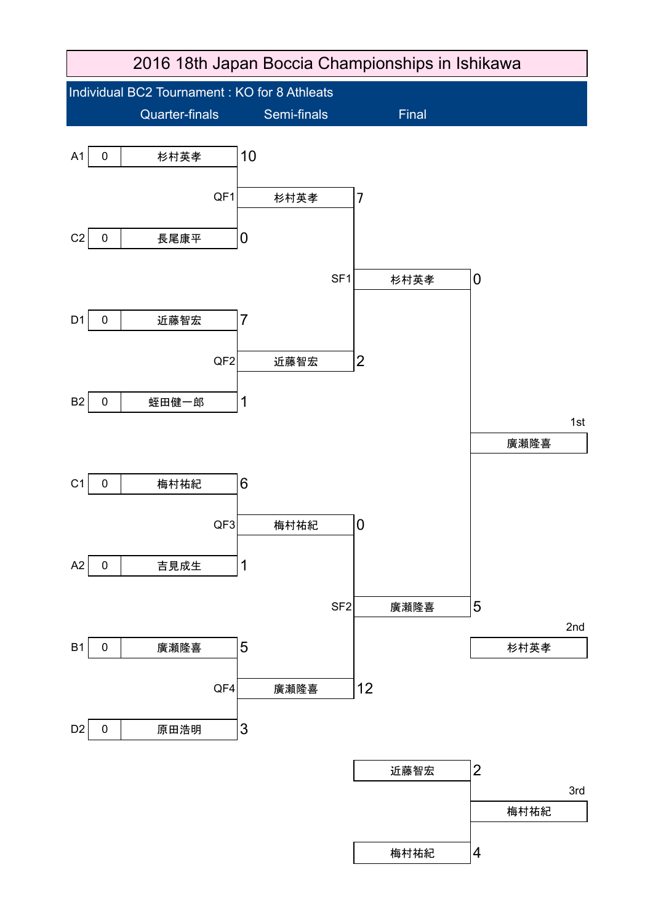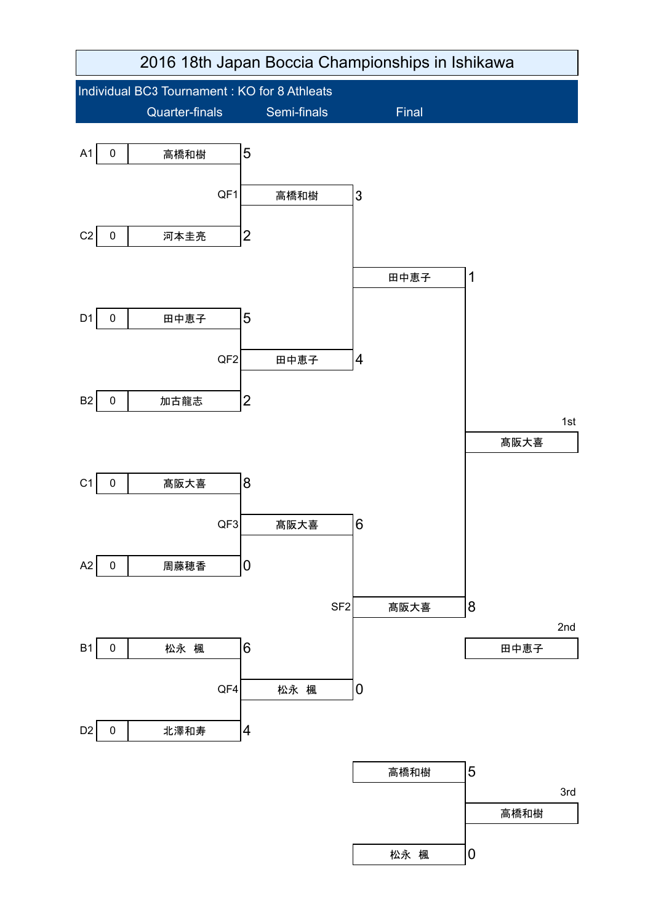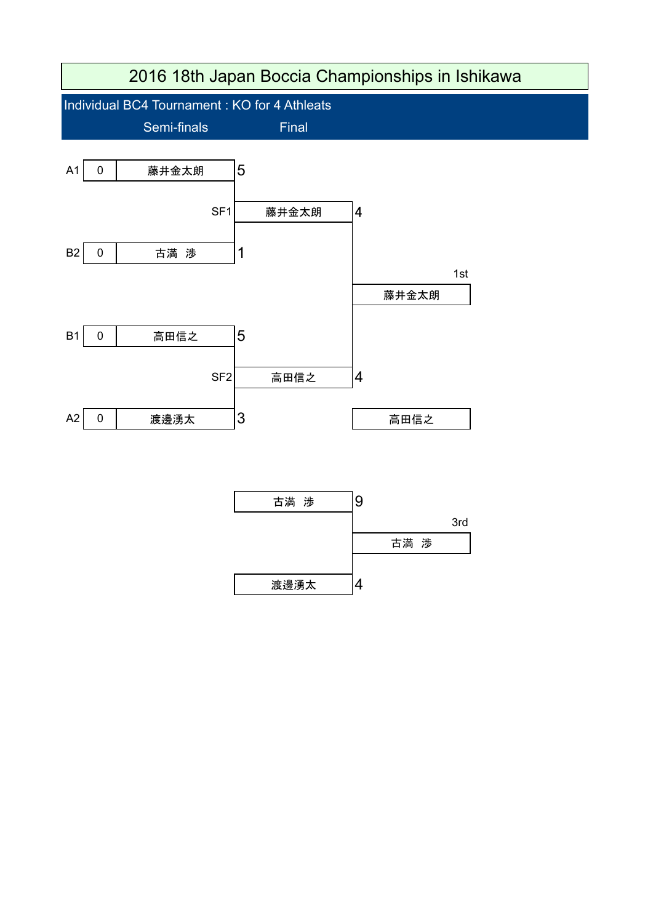

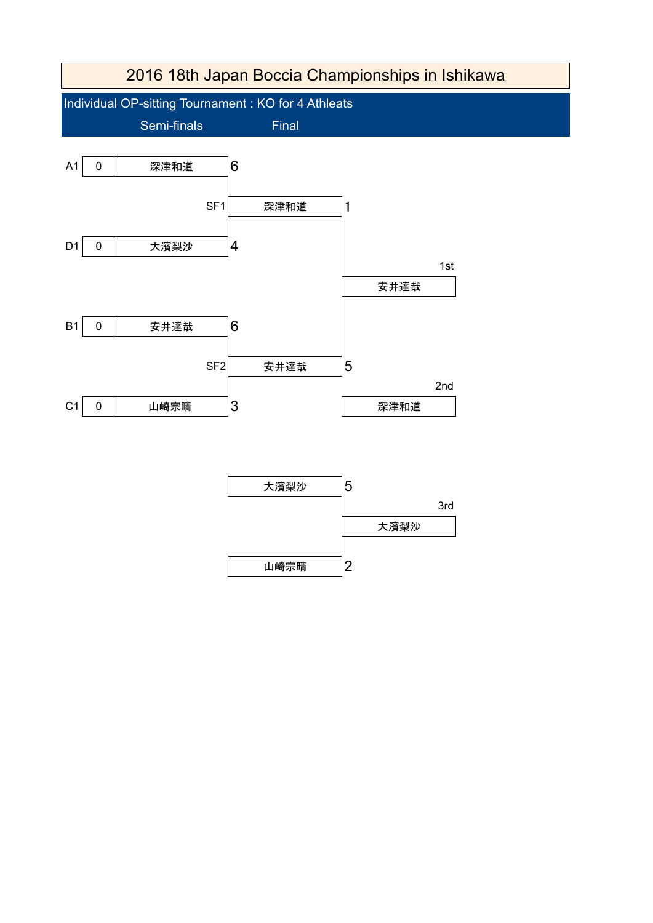